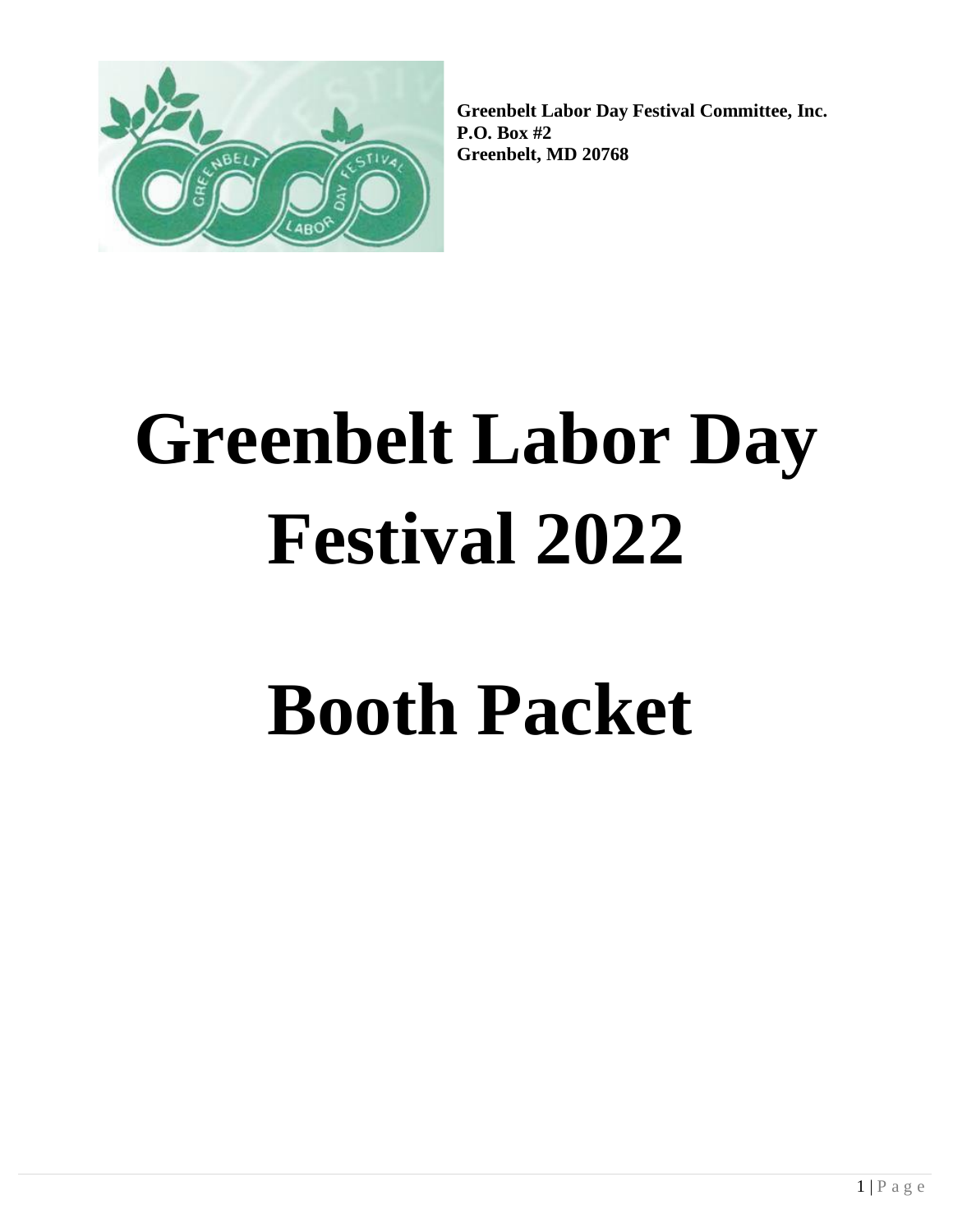

**Greenbelt Labor Day Festival Committee, Inc. P.O. Box #2 Greenbelt, MD 20768**

# **Greenbelt Labor Day Festival 2022**

# **Booth Packet**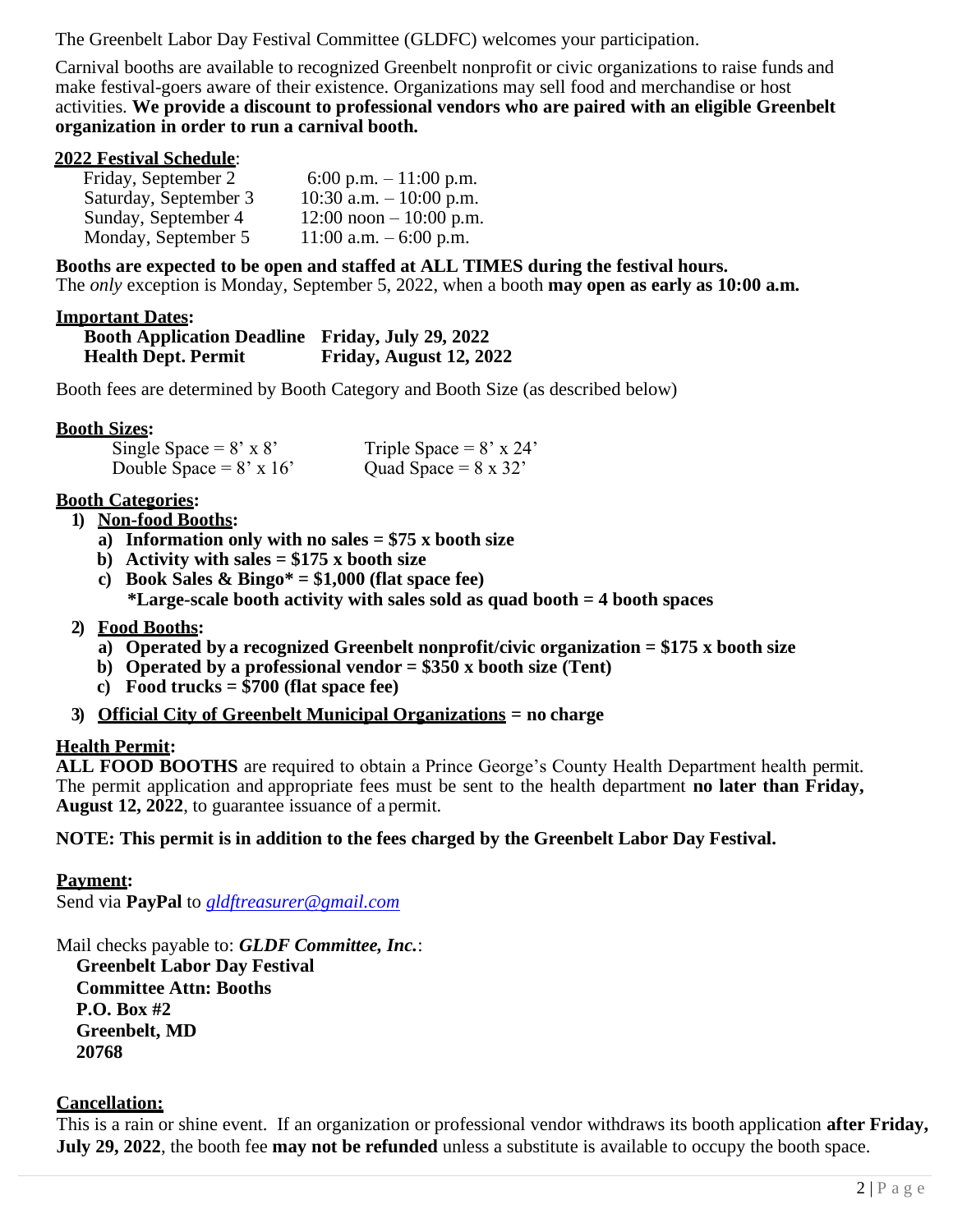The Greenbelt Labor Day Festival Committee (GLDFC) welcomes your participation.

Carnival booths are available to recognized Greenbelt nonprofit or civic organizations to raise funds and make festival-goers aware of their existence. Organizations may sell food and merchandise or host activities. **We provide a discount to professional vendors who are paired with an eligible Greenbelt organization in order to run a carnival booth.**

#### **2022 Festival Schedule**:

| Friday, September 2   | 6:00 p.m. $-11:00$ p.m.    |
|-----------------------|----------------------------|
| Saturday, September 3 | 10:30 a.m. $-10:00$ p.m.   |
| Sunday, September 4   | $12:00$ noon $-10:00$ p.m. |
| Monday, September 5   | 11:00 a.m. $-6:00$ p.m.    |

**Booths are expected to be open and staffed at ALL TIMES during the festival hours.** The *only* exception is Monday, September 5, 2022, when a booth **may open as early as 10:00 a.m.**

#### **Important Dates:**

| <b>Booth Application Deadline Friday, July 29, 2022</b> |                         |
|---------------------------------------------------------|-------------------------|
| <b>Health Dept. Permit</b>                              | Friday, August 12, 2022 |

Booth fees are determined by Booth Category and Booth Size (as described below)

#### **Booth Sizes:**

| Single Space = $8' \times 8'$  | Triple Space = $8' \times 24'$ |
|--------------------------------|--------------------------------|
| Double Space = $8' \times 16'$ | Quad Space = $8 \times 32'$    |

#### **Booth Categories:**

- **1) Non-food Booths:**
	- **a) Information only with no sales = \$75 x booth size**
	- **b) Activity with sales = \$175 x booth size**
	- c) **Book Sales & Bingo\*** =  $$1,000$  (flat space fee) **\*Large-scale booth activity with sales sold as quad booth = 4 booth spaces**

#### **2) Food Booths:**

- **a) Operated by a recognized Greenbelt nonprofit/civic organization = \$175 x booth size**
- **b) Operated by a professional vendor = \$350 x booth size (Tent)**
- **c) Food trucks = \$700 (flat space fee)**
- **3) Official City of Greenbelt Municipal Organizations = no charge**

### **Health Permit:**

**ALL FOOD BOOTHS** are required to obtain a Prince George's County Health Department health permit. The permit application and appropriate fees must be sent to the health department **no later than Friday, August 12, 2022**, to guarantee issuance of a permit.

#### **NOTE: This permit is in addition to the fees charged by the Greenbelt Labor Day Festival.**

#### **Payment:**

Send via **PayPal** to *[gldftreasurer@gmail.com](mailto:gldftreasurer@gmail.com)*

Mail checks payable to: *GLDF Committee, Inc.*:

**Greenbelt Labor Day Festival Committee Attn: Booths P.O. Box #2 Greenbelt, MD 20768**

#### **Cancellation:**

This is a rain or shine event. If an organization or professional vendor withdraws its booth application **after Friday, July 29, 2022**, the booth fee **may not be refunded** unless a substitute is available to occupy the booth space.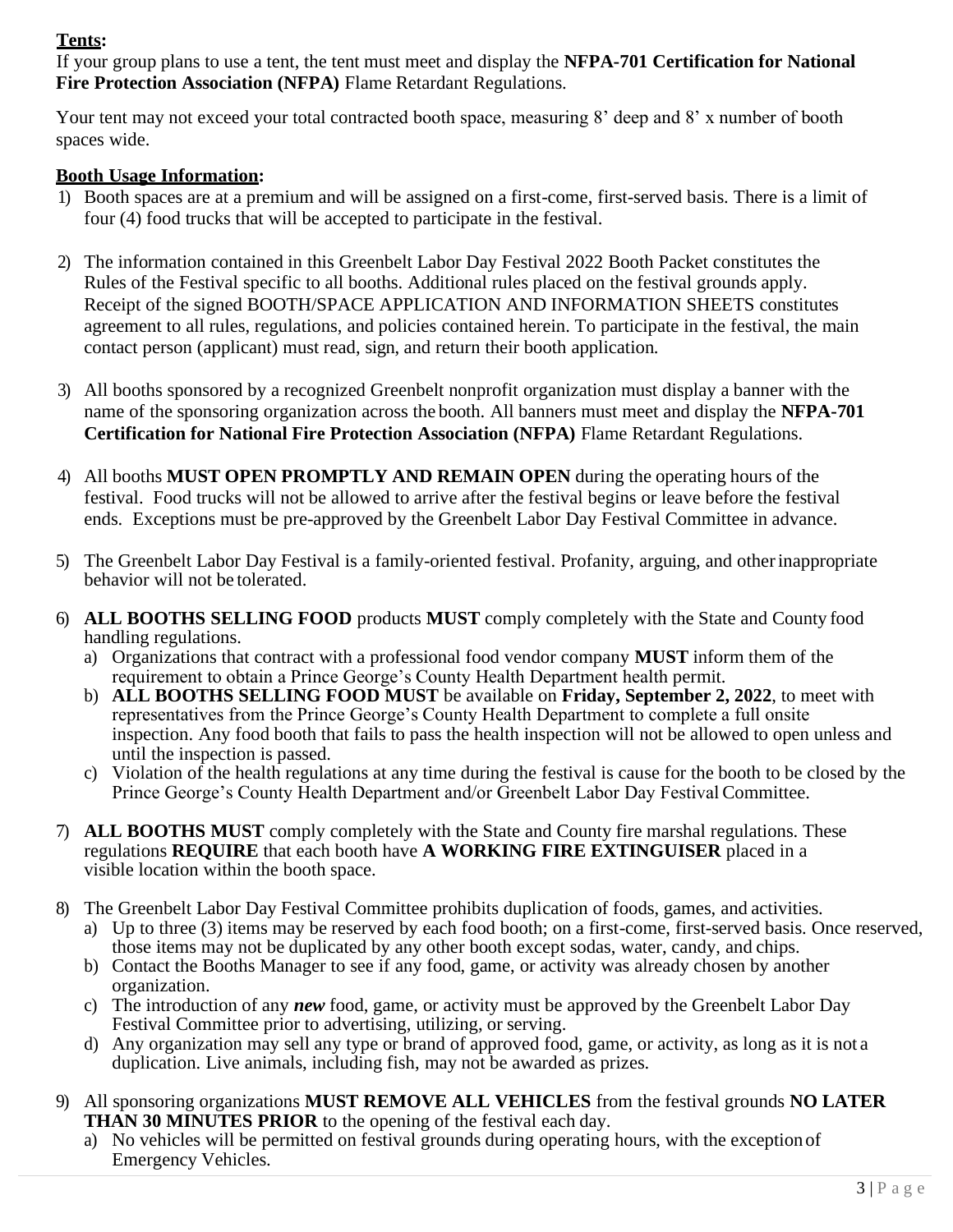# **Tents:**

If your group plans to use a tent, the tent must meet and display the **NFPA-701 Certification for National Fire Protection Association (NFPA)** Flame Retardant Regulations.

Your tent may not exceed your total contracted booth space, measuring 8' deep and 8' x number of booth spaces wide.

# **Booth Usage Information:**

- 1) Booth spaces are at a premium and will be assigned on a first-come, first-served basis. There is a limit of four (4) food trucks that will be accepted to participate in the festival.
- 2) The information contained in this Greenbelt Labor Day Festival 2022 Booth Packet constitutes the Rules of the Festival specific to all booths. Additional rules placed on the festival grounds apply. Receipt of the signed BOOTH/SPACE APPLICATION AND INFORMATION SHEETS constitutes agreement to all rules, regulations, and policies contained herein. To participate in the festival, the main contact person (applicant) must read, sign, and return their booth application.
- 3) All booths sponsored by a recognized Greenbelt nonprofit organization must display a banner with the name of the sponsoring organization across the booth. All banners must meet and display the **NFPA-701 Certification for National Fire Protection Association (NFPA)** Flame Retardant Regulations.
- 4) All booths **MUST OPEN PROMPTLY AND REMAIN OPEN** during the operating hours of the festival. Food trucks will not be allowed to arrive after the festival begins or leave before the festival ends. Exceptions must be pre-approved by the Greenbelt Labor Day Festival Committee in advance.
- 5) The Greenbelt Labor Day Festival is a family-oriented festival. Profanity, arguing, and otherinappropriate behavior will not be tolerated.
- 6) **ALL BOOTHS SELLING FOOD** products **MUST** comply completely with the State and County food handling regulations.
	- a) Organizations that contract with a professional food vendor company **MUST** inform them of the requirement to obtain a Prince George's County Health Department health permit.
	- b) **ALL BOOTHS SELLING FOOD MUST** be available on **Friday, September 2, 2022**, to meet with representatives from the Prince George's County Health Department to complete a full onsite inspection. Any food booth that fails to pass the health inspection will not be allowed to open unless and until the inspection is passed.
	- c) Violation of the health regulations at any time during the festival is cause for the booth to be closed by the Prince George's County Health Department and/or Greenbelt Labor Day Festival Committee.
- 7) **ALL BOOTHS MUST** comply completely with the State and County fire marshal regulations. These regulations **REQUIRE** that each booth have **A WORKING FIRE EXTINGUISER** placed in a visible location within the booth space.
- 8) The Greenbelt Labor Day Festival Committee prohibits duplication of foods, games, and activities.
	- a) Up to three (3) items may be reserved by each food booth; on a first-come, first-served basis. Once reserved, those items may not be duplicated by any other booth except sodas, water, candy, and chips.
	- b) Contact the Booths Manager to see if any food, game, or activity was already chosen by another organization.
	- c) The introduction of any *new* food, game, or activity must be approved by the Greenbelt Labor Day Festival Committee prior to advertising, utilizing, or serving.
	- d) Any organization may sell any type or brand of approved food, game, or activity, as long as it is not a duplication. Live animals, including fish, may not be awarded as prizes.
- 9) All sponsoring organizations **MUST REMOVE ALL VEHICLES** from the festival grounds **NO LATER THAN 30 MINUTES PRIOR** to the opening of the festival each day.
	- a) No vehicles will be permitted on festival grounds during operating hours, with the exception of Emergency Vehicles.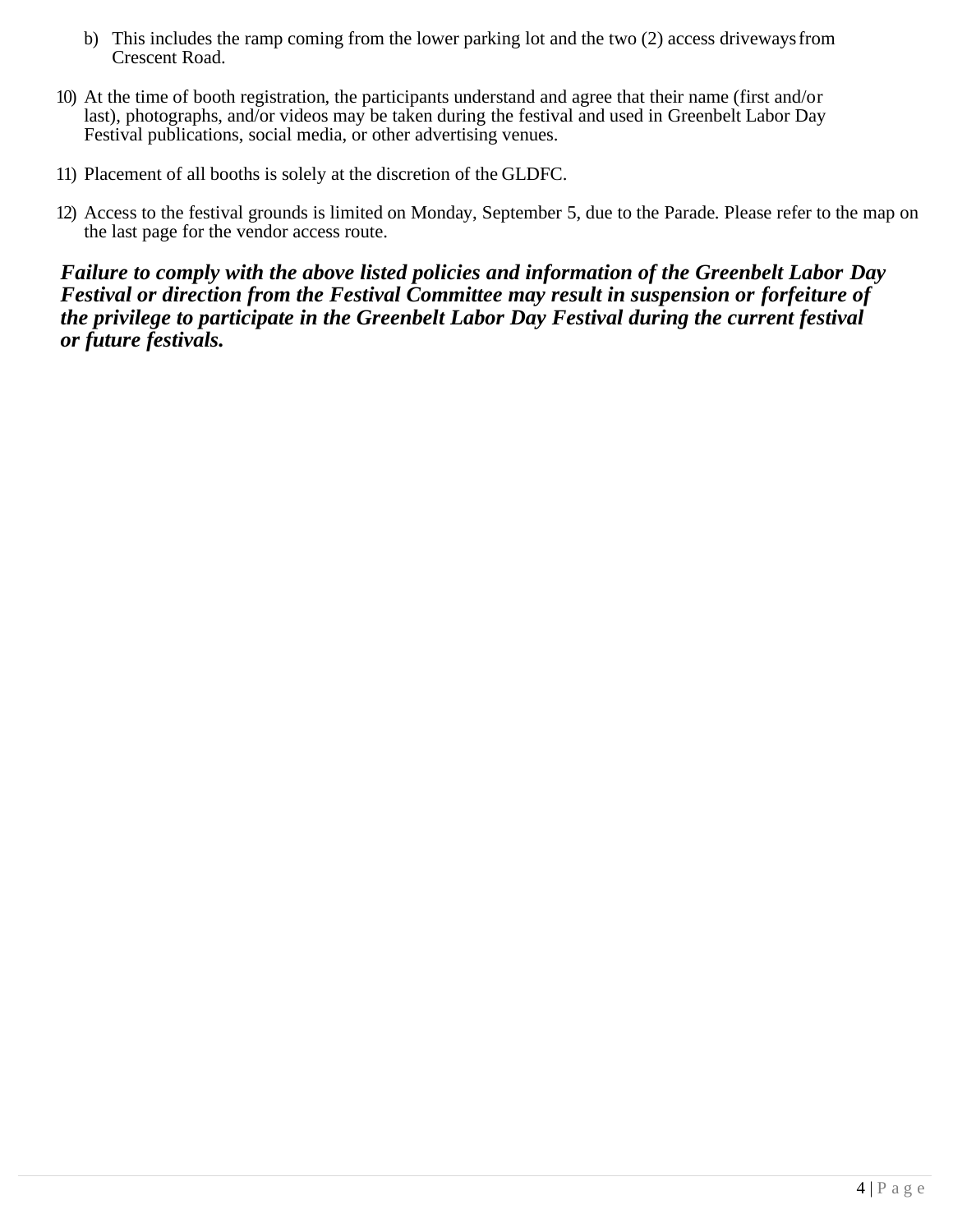- b) This includes the ramp coming from the lower parking lot and the two (2) access drivewaysfrom Crescent Road.
- 10) At the time of booth registration, the participants understand and agree that their name (first and/or last), photographs, and/or videos may be taken during the festival and used in Greenbelt Labor Day Festival publications, social media, or other advertising venues.
- 11) Placement of all booths is solely at the discretion of the GLDFC.
- 12) Access to the festival grounds is limited on Monday, September 5, due to the Parade. Please refer to the map on the last page for the vendor access route.

*Failure to comply with the above listed policies and information of the Greenbelt Labor Day Festival or direction from the Festival Committee may result in suspension or forfeiture of the privilege to participate in the Greenbelt Labor Day Festival during the current festival or future festivals.*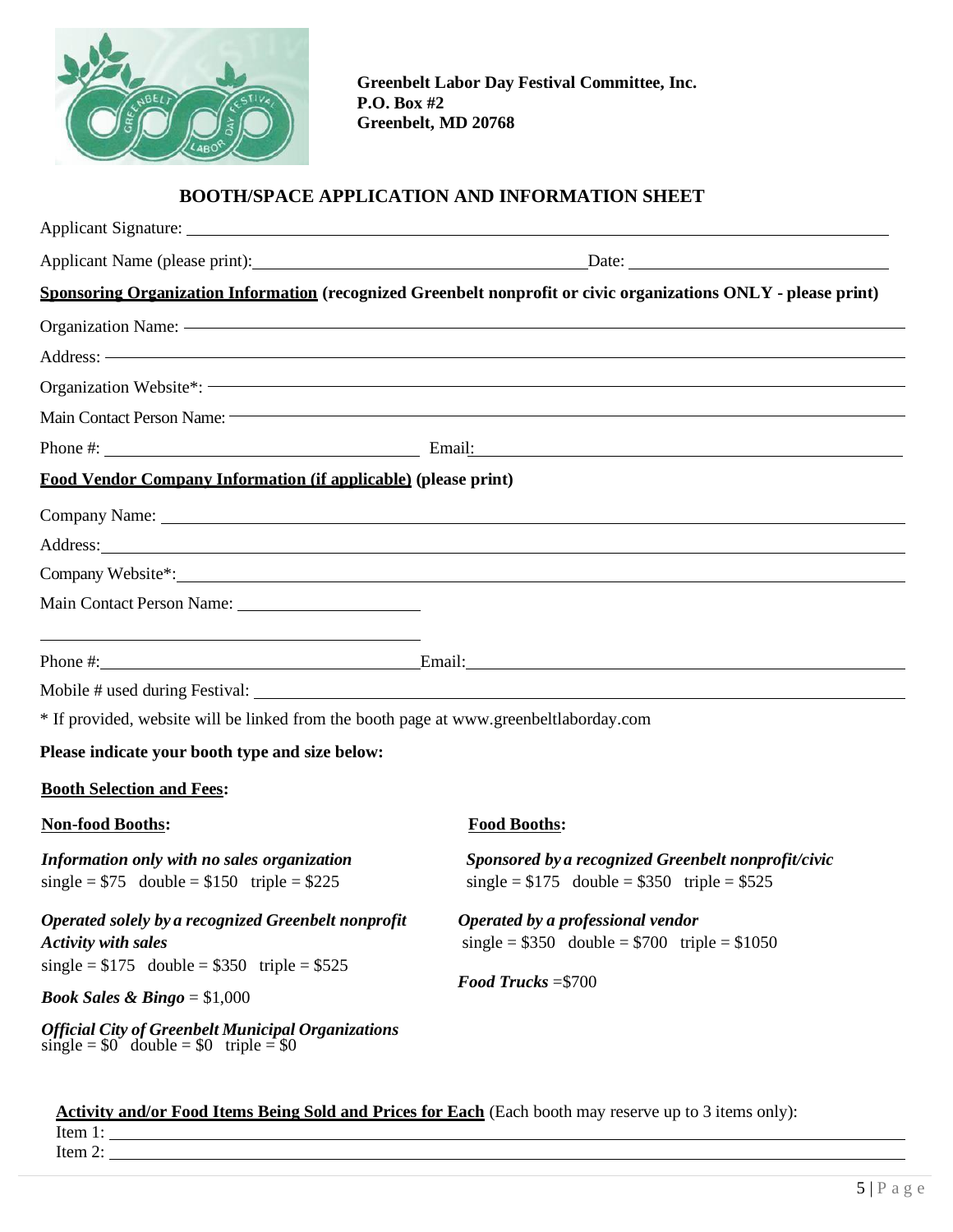

**Greenbelt Labor Day Festival Committee, Inc. P.O. Box #2 Greenbelt, MD 20768**

### **BOOTH/SPACE APPLICATION AND INFORMATION SHEET**

|                                                                                                        | Applicant Signature: 1986. The Contract of the Contract of the Contract of the Contract of the Contract of the Contract of the Contract of the Contract of the Contract of the Contract of the Contract of the Contract of the |
|--------------------------------------------------------------------------------------------------------|--------------------------------------------------------------------------------------------------------------------------------------------------------------------------------------------------------------------------------|
|                                                                                                        |                                                                                                                                                                                                                                |
|                                                                                                        | Sponsoring Organization Information (recognized Greenbelt nonprofit or civic organizations ONLY - please print)                                                                                                                |
|                                                                                                        |                                                                                                                                                                                                                                |
|                                                                                                        |                                                                                                                                                                                                                                |
|                                                                                                        |                                                                                                                                                                                                                                |
|                                                                                                        | Main Contact Person Name: The Contract of the Contract of the Contract of the Contract Person Name:                                                                                                                            |
|                                                                                                        | Phone #: $\qquad \qquad$ Email: $\qquad \qquad$ Email:                                                                                                                                                                         |
| Food Vendor Company Information (if applicable) (please print)                                         |                                                                                                                                                                                                                                |
|                                                                                                        |                                                                                                                                                                                                                                |
|                                                                                                        | Address: Andreas Address: Address: Address: Address: Address: Address: Address: Address: Address: Address: Address: Address: Address: Address: Address: Address: Address: Address: Address: Address: Address: Address: Address |
|                                                                                                        |                                                                                                                                                                                                                                |
|                                                                                                        |                                                                                                                                                                                                                                |
|                                                                                                        | Phone #: Email: Email: Email:                                                                                                                                                                                                  |
|                                                                                                        |                                                                                                                                                                                                                                |
| * If provided, website will be linked from the booth page at www.greenbeltlaborday.com                 |                                                                                                                                                                                                                                |
| Please indicate your booth type and size below:                                                        |                                                                                                                                                                                                                                |
| <b>Booth Selection and Fees:</b>                                                                       |                                                                                                                                                                                                                                |
| <b>Non-food Booths:</b>                                                                                | <b>Food Booths:</b>                                                                                                                                                                                                            |
| Information only with no sales organization<br>single = $$75$ double = $$150$ triple = $$225$          | Sponsored by a recognized Greenbelt nonprofit/civic<br>single = $$175$ double = $$350$ triple = $$525$                                                                                                                         |
| Operated solely by a recognized Greenbelt nonprofit<br><b>Activity with sales</b>                      | Operated by a professional vendor<br>single = $$350$ double = $$700$ triple = $$1050$                                                                                                                                          |
| single = $$175$ double = $$350$ triple = $$525$                                                        | Food Trucks = $$700$                                                                                                                                                                                                           |
| <b>Book Sales &amp; Bingo</b> = $$1,000$                                                               |                                                                                                                                                                                                                                |
| <b>Official City of Greenbelt Municipal Organizations</b><br>single = $$0$ double = $$0$ triple = $$0$ |                                                                                                                                                                                                                                |

**Activity and/or Food Items Being Sold and Prices for Each** (Each booth may reserve up to 3 items only): Item 1:

Item 2: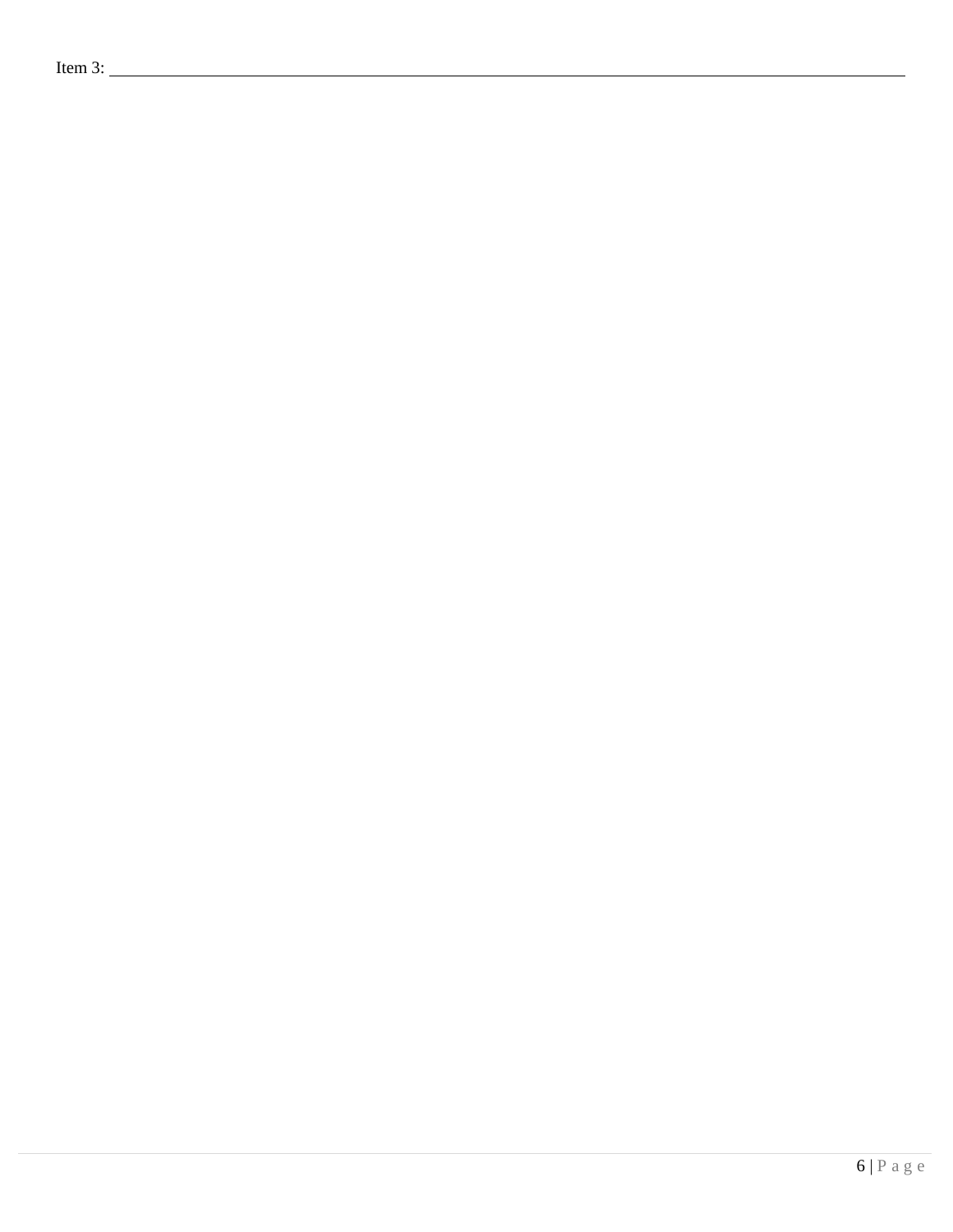Item 3: